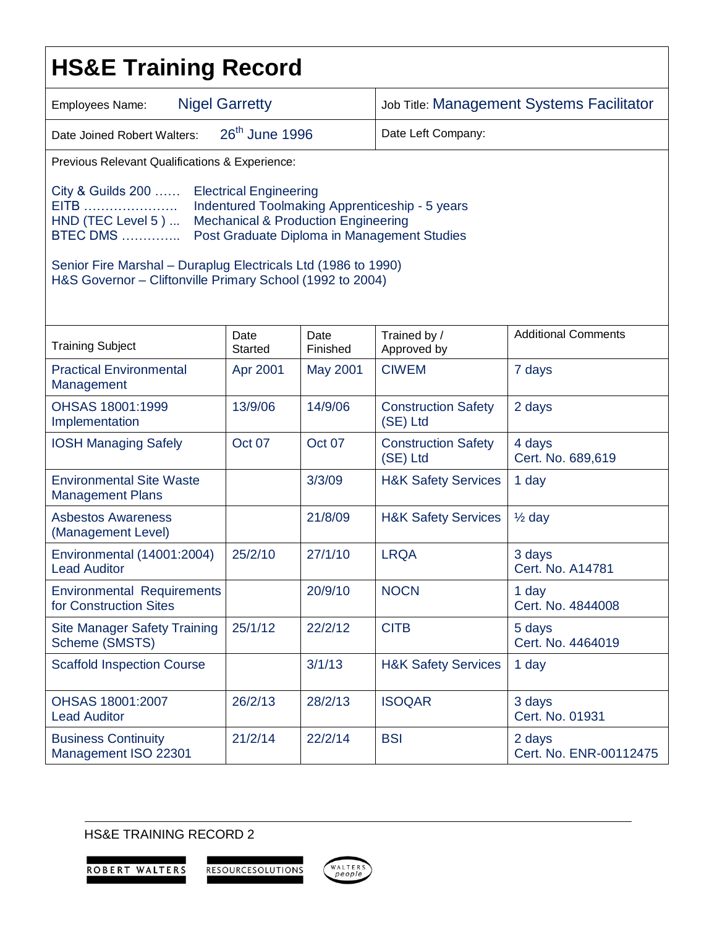| <b>HS&amp;E Training Record</b>                                                                                                                                                                                                                       |                        |                  |                                           |                                  |  |  |  |
|-------------------------------------------------------------------------------------------------------------------------------------------------------------------------------------------------------------------------------------------------------|------------------------|------------------|-------------------------------------------|----------------------------------|--|--|--|
| <b>Nigel Garretty</b><br>Employees Name:                                                                                                                                                                                                              |                        |                  | Job Title: Management Systems Facilitator |                                  |  |  |  |
| 26 <sup>th</sup> June 1996<br>Date Joined Robert Walters:                                                                                                                                                                                             |                        |                  | Date Left Company:                        |                                  |  |  |  |
| Previous Relevant Qualifications & Experience:                                                                                                                                                                                                        |                        |                  |                                           |                                  |  |  |  |
| City & Guilds 200<br><b>Electrical Engineering</b><br>Indentured Toolmaking Apprenticeship - 5 years<br>EITB<br>HND (TEC Level 5)<br><b>Mechanical &amp; Production Engineering</b><br>Post Graduate Diploma in Management Studies<br><b>BTEC DMS</b> |                        |                  |                                           |                                  |  |  |  |
| Senior Fire Marshal - Duraplug Electricals Ltd (1986 to 1990)<br>H&S Governor - Cliftonville Primary School (1992 to 2004)                                                                                                                            |                        |                  |                                           |                                  |  |  |  |
| <b>Training Subject</b>                                                                                                                                                                                                                               | Date<br><b>Started</b> | Date<br>Finished | Trained by /<br>Approved by               | <b>Additional Comments</b>       |  |  |  |
| <b>Practical Environmental</b><br>Management                                                                                                                                                                                                          | Apr 2001               | May 2001         | <b>CIWEM</b>                              | 7 days                           |  |  |  |
| OHSAS 18001:1999<br>Implementation                                                                                                                                                                                                                    | 13/9/06                | 14/9/06          | <b>Construction Safety</b><br>(SE) Ltd    | 2 days                           |  |  |  |
| <b>IOSH Managing Safely</b>                                                                                                                                                                                                                           | Oct 07                 | Oct 07           | <b>Construction Safety</b><br>(SE) Ltd    | 4 days<br>Cert. No. 689,619      |  |  |  |
| <b>Environmental Site Waste</b><br><b>Management Plans</b>                                                                                                                                                                                            |                        | 3/3/09           | <b>H&amp;K Safety Services</b>            | 1 day                            |  |  |  |
| <b>Asbestos Awareness</b><br>(Management Level)                                                                                                                                                                                                       |                        | 21/8/09          | <b>H&amp;K Safety Services</b>            | $\frac{1}{2}$ day                |  |  |  |
| Environmental (14001:2004)<br><b>Lead Auditor</b>                                                                                                                                                                                                     | 25/2/10                | 27/1/10          | <b>LRQA</b>                               | 3 days<br>Cert. No. A14781       |  |  |  |
| <b>Environmental Requirements</b><br>for Construction Sites                                                                                                                                                                                           |                        | 20/9/10          | <b>NOCN</b>                               | 1 day<br>Cert. No. 4844008       |  |  |  |
| <b>Site Manager Safety Training</b><br>Scheme (SMSTS)                                                                                                                                                                                                 | 25/1/12                | 22/2/12          | <b>CITB</b>                               | 5 days<br>Cert. No. 4464019      |  |  |  |
| <b>Scaffold Inspection Course</b>                                                                                                                                                                                                                     |                        | 3/1/13           | <b>H&amp;K Safety Services</b>            | 1 day                            |  |  |  |
| OHSAS 18001:2007<br><b>Lead Auditor</b>                                                                                                                                                                                                               | 26/2/13                | 28/2/13          | <b>ISOQAR</b>                             | 3 days<br>Cert. No. 01931        |  |  |  |
| <b>Business Continuity</b><br>Management ISO 22301                                                                                                                                                                                                    | 21/2/14                | 22/2/14          | <b>BSI</b>                                | 2 days<br>Cert. No. ENR-00112475 |  |  |  |

## HS&E TRAINING RECORD 2



RESOURCESOLUTIONS ٠